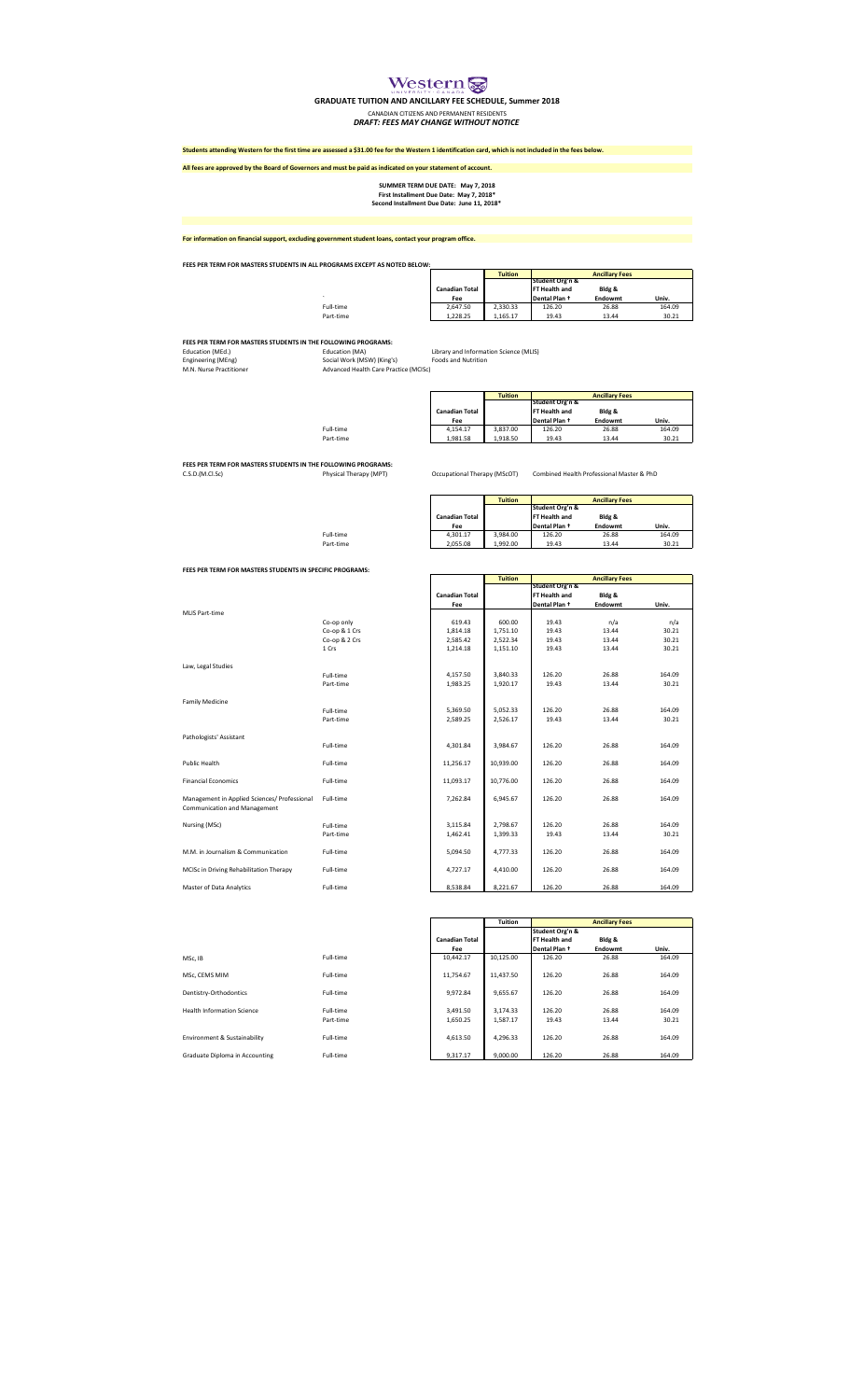## Western

**GRADUATE TUITION AND ANCILLARY FEE SCHEDULE, Summer 2018**

**CANADIAN CITIZENS AND PERMANENT RESIDENTS<br>DRAFT: FEES MAY CHANGE WITHOUT NOTICE** 

**Students attending Western for the first time are assessed a \$31.00 fee for the Western 1 identification card, which is not included in the fees below.**

**All fees are approved by the Board of Governors and must be paid as indicated on your statement of account. Tuition** .<br>Full-time<br>Part-time Full-time 2,647.50 2,330.33 126.20 26.88 164.09 Part-time 1,228.25 1,165.17 19.43 13.44 30.21 **FEES PER TERM FOR MASTERS STUDENTS IN THE FOLLOWING PROGRAMS:**<br>Education (MEd.) Education (MA)<br>Engineering (MEng) The Social Work (MSW) (King's) Foods and Nutrition<br>M.N. Nurse Practitioner Advanced Health Care Practice (M **Tuition** Full-time 4,154.17 3,837.00 126.20 26.88 164.09 Part-time 1,981.58 1,918.50 19.43 13.44 30.21 **FEES PER TERM FOR MASTERS STUDENTS IN THE FOLLOWING PROGRAMS:**<br>C.S.D.(M.Cl.Sc) Physical Therapy (MPT) Occupational Therapy (MScOT) Combined Health Professional Master & PhD **Tuition** Full-time 4,301.17 3,984.00 126.20 26.88 164.09 Part-time 2,055.08 1,992.00 19.43 13.44 30.21 **FEES PER TERM FOR MASTERS STUDENTS IN SPECIFIC PROGRAMS: Tuition** MLIS Part-time **Ancillary Fees Univ. Bldg & Endowm**<br>26.88<br>13.44 **Ancillary Fees Canadian Total**  Fee **Dental Plan + Endowmt** Univ. **Student Org'n & FT Health and Dental Plan † First Installment Due Date: May 7, 2018\* Second Installment Due Date: June 11, 2018\* Bldg & Endowmt Ancillary Fees Student Org'n & FT Health and Dental Plan † Bldg & Endowmt Ancillary Fees Student Org'n & FT Health and Dental Plan † Student Org'n & FT Health and Dental Plan † Fee Univ. Univ. Canadian Total<br>
Fee**<br>
4,301.17<br>
2,055.08 **Canadian Total Fee**<br>4,154.17<br>1,981.58 **Canadian Total Fee**<br> **Fee**<br> **2,647.50**<br> **1,228.25 For information on financial support, excluding government student loans, contact your program office. Bldg & Endowmt FEES PER TERM FOR MASTERS STUDENTS IN ALL PROGRAMS EXCEPT AS NOTED BELOW: SUMMER TERM DUE DATE: May 7, 2018**

| MLIS Part-time                               |               |
|----------------------------------------------|---------------|
|                                              | Co-op only    |
|                                              | Co-op & 1 Crs |
|                                              |               |
|                                              | Co-op & 2 Crs |
|                                              | 1 Crs         |
|                                              |               |
| Law, Legal Studies                           |               |
|                                              | Full-time     |
|                                              | Part-time     |
|                                              |               |
|                                              |               |
| <b>Family Medicine</b>                       |               |
|                                              | Full-time     |
|                                              | Part-time     |
|                                              |               |
| Pathologists' Assistant                      |               |
|                                              | Full-time     |
|                                              |               |
|                                              |               |
| Public Health                                | Full-time     |
|                                              |               |
| <b>Financial Economics</b>                   | Full-time     |
|                                              |               |
| Management in Applied Sciences/ Professional | Full-time     |
| Communication and Management                 |               |
|                                              |               |
|                                              |               |
| Nursing (MSc)                                | Full-time     |
|                                              | Part-time     |
|                                              |               |
| M.M. in Journalism & Communication           | Full-time     |
|                                              |               |
| MCISc in Driving Rehabilitation Therapy      | Full-time     |
|                                              |               |
| Master of Data Analytics                     |               |
|                                              | Full-time     |

| FEES PER TERIVI FOR MASTERS STUDENTS IN SPECIFIC PROGRAMS:                   |               |                       |                |                 |                       |        |
|------------------------------------------------------------------------------|---------------|-----------------------|----------------|-----------------|-----------------------|--------|
|                                                                              |               |                       | <b>Tuition</b> |                 | <b>Ancillary Fees</b> |        |
|                                                                              |               |                       |                | Student Org'n & |                       |        |
|                                                                              |               | <b>Canadian Total</b> |                | FT Health and   | Bldg &                |        |
|                                                                              |               | Fee                   |                | Dental Plan +   | Endowmt               | Univ.  |
| <b>MLIS Part-time</b>                                                        |               |                       |                |                 |                       |        |
|                                                                              | Co-op only    | 619.43                | 600.00         | 19.43           | n/a                   | n/a    |
|                                                                              | Co-op & 1 Crs | 1,814.18              | 1,751.10       | 19.43           | 13.44                 | 30.21  |
|                                                                              | Co-op & 2 Crs | 2,585.42              | 2,522.34       | 19.43           | 13.44                 | 30.21  |
|                                                                              | 1 Crs         | 1,214.18              | 1,151.10       | 19.43           | 13.44                 | 30.21  |
| Law, Legal Studies                                                           |               |                       |                |                 |                       |        |
|                                                                              | Full-time     | 4,157.50              | 3,840.33       | 126.20          | 26.88                 | 164.09 |
|                                                                              | Part-time     | 1,983.25              | 1,920.17       | 19.43           | 13.44                 | 30.21  |
| <b>Family Medicine</b>                                                       |               |                       |                |                 |                       |        |
|                                                                              | Full-time     | 5,369.50              | 5,052.33       | 126.20          | 26.88                 | 164.09 |
|                                                                              | Part-time     | 2,589.25              | 2,526.17       | 19.43           | 13.44                 | 30.21  |
| Pathologists' Assistant                                                      |               |                       |                |                 |                       |        |
|                                                                              | Full-time     | 4,301.84              | 3,984.67       | 126.20          | 26.88                 | 164.09 |
| Public Health                                                                | Full-time     | 11,256.17             | 10,939.00      | 126.20          | 26.88                 | 164.09 |
| <b>Financial Economics</b>                                                   | Full-time     | 11,093.17             | 10,776.00      | 126.20          | 26.88                 | 164.09 |
| Management in Applied Sciences/ Professional<br>Communication and Management | Full-time     | 7,262.84              | 6,945.67       | 126.20          | 26.88                 | 164.09 |
| Nursing (MSc)                                                                | Full-time     | 3,115.84              | 2,798.67       | 126.20          | 26.88                 | 164.09 |
|                                                                              | Part-time     | 1,462.41              | 1,399.33       | 19.43           | 13.44                 | 30.21  |
| M.M. in Journalism & Communication                                           | Full-time     | 5,094.50              | 4,777.33       | 126.20          | 26.88                 | 164.09 |
| MCISc in Driving Rehabilitation Therapy                                      | Full-time     | 4,727.17              | 4,410.00       | 126.20          | 26.88                 | 164.09 |
| Master of Data Analytics                                                     | Full-time     | 8,538.84              | 8,221.67       | 126.20          | 26.88                 | 164.09 |

| MSc. IB                           | Full-time              |
|-----------------------------------|------------------------|
| MSc. CEMS MIM                     | Full-time              |
| Dentistry-Orthodontics            | Full-time              |
| <b>Health Information Science</b> | Full-time<br>Part-time |
| Environment & Sustainability      | Full-time              |
| Graduate Diploma in Accounting    | Full-time              |

|                                   |           |                       | <b>Tuition</b> |                 | <b>Ancillary Fees</b> |        |
|-----------------------------------|-----------|-----------------------|----------------|-----------------|-----------------------|--------|
|                                   |           |                       |                | Student Org'n & |                       |        |
|                                   |           | <b>Canadian Total</b> |                | FT Health and   | Bldg &                |        |
|                                   |           | Fee                   |                | Dental Plan +   | Endowmt               | Univ.  |
| MSc, IB                           | Full-time | 10.442.17             | 10,125.00      | 126.20          | 26.88                 | 164.09 |
| MSc, CEMS MIM                     | Full-time | 11,754.67             | 11,437.50      | 126.20          | 26.88                 | 164.09 |
| Dentistry-Orthodontics            | Full-time | 9,972.84              | 9,655.67       | 126.20          | 26.88                 | 164.09 |
| <b>Health Information Science</b> | Full-time | 3,491.50              | 3,174.33       | 126.20          | 26.88                 | 164.09 |
|                                   | Part-time | 1,650.25              | 1,587.17       | 19.43           | 13.44                 | 30.21  |
| Environment & Sustainability      | Full-time | 4.613.50              | 4,296.33       | 126.20          | 26.88                 | 164.09 |
| Graduate Diploma in Accounting    | Full-time | 9.317.17              | 9.000.00       | 126.20          | 26.88                 | 164.09 |